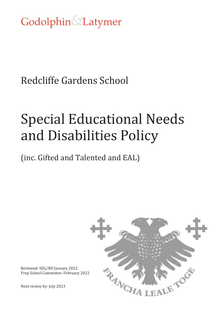Godolphin Latymer

Redcliffe Gardens School

# Special Educational Needs and Disabilities Policy

(inc. Gifted and Talented and EAL)



Reviewed: SEG/BD January 2022 Prep School Committee: February 2022

Next review by: July 2023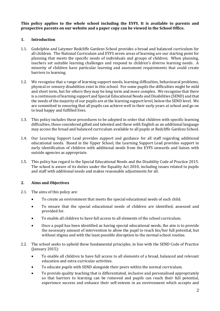**This policy applies to the whole school including the EYFS. It is available to parents and prospective parents on our website and a paper copy can be viewed in the School Office.** 

## **1. Introduction**

- 1.1. Godolphin and Latymer Redcliffe Gardens School provides a broad and balanced curriculum for all children. The National Curriculum and EYFS seven areas of learning are our starting point for planning that meets the specific needs of individuals and groups of children. When planning, teachers set suitable learning challenges and respond to children's diverse learning needs. A minority of children have particular learning and assessment requirements that could create barriers to learning.
- 1.2. We recognise that a range of learning support needs, learning difficulties, behavioural problems, physical or sensory disabilities exist in this school. For some pupils the difficulties might be mild and short term, but for others they may be long term and more complex. We recognise that there is a continuum of learning support and Special Educational Needs and Disabilities (SEND) and that the needs of the majority of our pupils are at the learning support level, below the SEND level. We are committed to ensuring that all pupils can achieve well in their early years at school and go on to lead happy and fulfilled lives.
- 1.3. This policy includes those procedures to be adopted in order that children with specific learning difficulties, those considered gifted and talented and those with English as an additional language may access the broad and balanced curriculum available to all pupils at Redcliffe Gardens School.
- 1.4. Our Learning Support Lead provides support and guidance for all staff regarding additional educational needs. Based in the Upper School, the Learning Support Lead provides support in early identification of children with additional needs from the EYFS onwards and liaises with outside agencies as appropriate.
- 1.5. This policy has regard to the Special Educational Needs and the Disability Code of Practice 2015. The school is aware of its duties under the Equality Act 2010, including issues related to pupils and staff with additional needs and makes reasonable adjustments for all.

## **2. Aims and Objectives**

- 2.1. The aims of this policy are:
	- To create an environment that meets the special educational needs of each child.
	- To ensure that the special educational needs of children are identified, assessed and provided for.
	- To enable all children to have full access to all elements of the school curriculum.
	- Once a pupil has been identified as having special educational needs, the aim is to provide the necessary amount of intervention to allow the pupil to reach his/her full potential, but without stigma and with the least possible disruption to the normal school routine.
- 2.2. The school seeks to uphold these fundamental principles, in line with the SEND Code of Practice (January 2015):
	- To enable all children to have full access to all elements of a broad, balanced and relevant education and extra-curricular activities.
	- To educate pupils with SEND alongside their peers within the normal curriculum.
	- To provide quality teaching that is differentiated, inclusive and personalised appropriately so that barriers to learning can be removed and pupils can reach their full potential, experience success and enhance their self-esteem in an environment which accepts and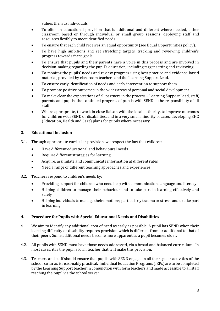values them as individuals.

- To offer an educational provision that is additional and different where needed, either classroom based or through individual or small group sessions, deploying staff and resources flexibly to meet identified needs.
- To ensure that each child receives an equal opportunity (see Equal Opportunities policy).
- To have high ambitions and set stretching targets, tracking and reviewing children's progress towards these goals.
- To ensure that pupils and their parents have a voice in this process and are involved in decision-making regarding the pupil's education, including target setting and reviewing.
- To monitor the pupils' needs and review progress using best practice and evidence-based material, provided by classroom teachers and the Learning Support Lead.
- To ensure early identification of needs and early intervention to support them.
- To promote positive outcomes in the wider areas of personal and social development.
- To make clear the expectations of all partners in the process Learning Support Lead, staff, parents and pupils: the continued progress of pupils with SEND is the responsibility of all staff.
- Where appropriate, to work in close liaison with the local authority, to improve outcomes for children with SEND or disabilities, and in a very small minority of cases, developing EHC (Education, Health and Care) plans for pupils where necessary.

# **3. Educational Inclusion**

- 3.1. Through appropriate curricular provision, we respect the fact that children:
	- Have different educational and behavioural needs
	- Require different strategies for learning
	- Acquire, assimilate and communicate information at different rates
	- Need a range of different teaching approaches and experiences
- 3.2. Teachers respond to children's needs by:
	- Providing support for children who need help with communication, language and literacy
	- Helping children to manage their behaviour and to take part in learning effectively and safely
	- Helping individuals to manage their emotions, particularly trauma or stress, and to take part in learning

## **4. Procedure for Pupils with Special Educational Needs and Disabilities**

- 4.1. We aim to identify any additional area of need as early as possible. A pupil has SEND when their learning difficulty or disability requires provision which is different from or additional to that of their peers. Some additional needs become more apparent as a pupil becomes older.
- 4.2. All pupils with SEND must have those needs addressed, via a broad and balanced curriculum. In most cases, it is the pupil's form teacher that will make this provision.
- 4.3. Teachers and staff should ensure that pupils with SEND engage in all the regular activities of the school, so far as is reasonably practical. Individual Education Programs (IEPs) are to be completed by the Learning Support teacher in conjunction with form teachers and made accessible to all staff teaching the pupil via the school server.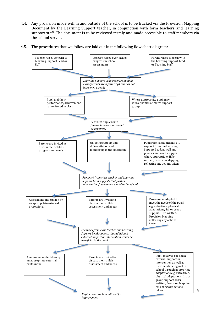- 4.4. Any provision made within and outside of the school is to be tracked via the Provision Mapping Document by the Learning Support teacher, in conjunction with form teachers and learning support staff. The document is to be reviewed termly and made accessible to staff members via the school server.
- 4.5. The procedures that we follow are laid out in the following flow chart diagram:



4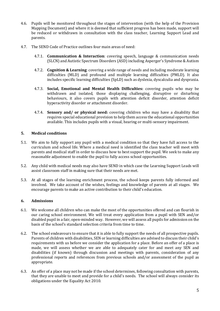- 4.6. Pupils will be monitored throughout the stages of intervention (with the help of the Provision Mapping Document) and where it is deemed that sufficient progress has been made, support will be reduced or withdrawn in consultation with the class teacher, Learning Support Lead and parents.
- 4.7. The SEND Code of Practice outlines four main areas of need:
	- 4.7.1. **Communication & Interaction**: covering speech, language & communication needs (SLCN) and Autistic Spectrum Disorders (ASD) including Asperger's Syndrome & Autism
	- 4.7.2. **Cognition & Learning**: covering a wide range of needs and including moderate learning difficulties (MLD) and profound and multiple learning difficulties (PMLD). It also includes specific learning difficulties (SpLD) such as dyslexia, dyscalculia and dyspraxia.
	- 4.7.3. **Social, Emotional and Mental Health Difficulties:** covering pupils who may be withdrawn and isolated, those displaying challenging, disruptive or disturbing behaviours, it also covers pupils with attention deficit disorder, attention deficit hyperactivity disorder or attachment disorder.
	- 4.7.4. **Sensory and/ or physical need:** covering children who may have a disability that requires special educational provision to help them access the educational opportunities available. This includes pupils with a visual, hearing or multi-sensory impairment.

## **5. Medical conditions**

- 5.1. We aim to fully support any pupil with a medical condition so that they have full access to the curriculum and school life. Where a medical need is identified the class teacher will meet with parents and medical staff in order to discuss how to best support the pupil. We seek to make any reasonable adjustment to enable the pupil to fully access school opportunities.
- 5.2. Any child with medical needs may also have SEND in which case the Learning Support Leads will assist classroom staff in making sure that their needs are met.
- 5.3. At all stages of the learning enrichment process, the school keeps parents fully informed and involved. We take account of the wishes, feelings and knowledge of parents at all stages. We encourage parents to make an active contribution to their child's education.

## **6. Admissions**

- 6.1. We welcome all children who can make the most of the opportunities offered and can flourish in our caring school environment. We will treat every application from a pupil with SEN and/or disabled pupil in a fair, open-minded way. However, we will assess all pupils for admission on the basis of the school's standard selection criteria from time to time.
- 6.2. The school endeavours to ensure that it is able to fully support the needs of all prospective pupils. Parents of children with disabilities, SEN or learning difficulties are advised to discuss their child's requirements with us before we consider the application for a place. Before an offer of a place is made, we will assess whether we are able to adequately cater for and meet any SEN and disabilities (if known) through discussion and meetings with parents, consideration of any professional reports and references from previous schools and/or assessment of the pupil as appropriate.
- 6.3. An offer of a place may not be made if the school determines, following consultation with parents, that they are unable to meet and provide for a child's needs. The school will always consider its obligations under the Equality Act 2010.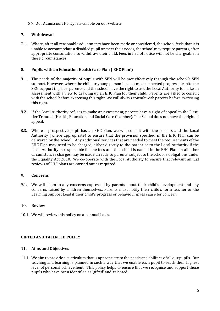6.4. Our Admissions Policy is available on our website.

## **7. Withdrawal**

7.1. Where, after all reasonable adjustments have been made or considered, the school feels that it is unable to accommodate a disabled pupil or meet their needs, the school may require parents, after appropriate consultation, to withdraw their child. Fees in lieu of notice will not be chargeable in these circumstances.

## **8. Pupils with an Education Health Care Plan ('EHC Plan')**

- 8.1. The needs of the majority of pupils with SEN will be met effectively through the school's SEN support. However, where the child or young person has not made expected progress despite the SEN support in place, parents and the school have the right to ask the Local Authority to make an assessment with a view to drawing up an EHC Plan for their child. Parents are asked to consult with the school before exercising this right. We will always consult with parents before exercising this right.
- 8.2. If the Local Authority refuses to make an assessment, parents have a right of appeal to the Firsttier Tribunal (Health, Education and Social Care Chamber). The School does not have this right of appeal.
- 8.3. Where a prospective pupil has an EHC Plan, we will consult with the parents and the Local Authority (where appropriate) to ensure that the provision specified in the EHC Plan can be delivered by the school. Any additional services that are needed to meet the requirements of the EHC Plan may need to be charged, either directly to the parent or to the Local Authority if the Local Authority is responsible for the fees and the school is named in the EHC Plan. In all other circumstances charges may be made directly to parents, subject to the school's obligations under the Equality Act 2010. We co-operate with the Local Authority to ensure that relevant annual reviews of EHC plans are carried out as required.

## **9. Concerns**

9.1. We will listen to any concerns expressed by parents about their child's development and any concerns raised by children themselves. Parents must notify their child's form teacher or the Learning Support Lead if their child's progress or behaviour gives cause for concern.

## **10. Review**

10.1. We will review this policy on an annual basis.

## **GIFTED AND TALENTED POLICY**

#### **11. Aims and Objectives**

11.1. We aim to provide a curriculum that is appropriate to the needs and abilities of all our pupils. Our teaching and learning is planned in such a way that we enable each pupil to reach their highest level of personal achievement. This policy helps to ensure that we recognise and support those pupils who have been identified as 'gifted' and 'talented'.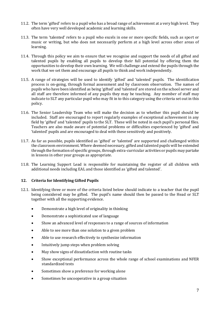- 11.2. The term 'gifted' refers to a pupil who has a broad range of achievement at a very high level. They often have very well developed academic and learning skills.
- 11.3. The term 'talented' refers to a pupil who excels in one or more specific fields, such as sport or music or writing, but who does not necessarily perform at a high level across other areas of learning.
- 11.4. Through this policy we aim to ensure that we recognise and support the needs of all gifted and talented pupils by enabling all pupils to develop their full potential by offering them the opportunities to develop their own learning. We will challenge and extend the pupils through the work that we set them and encourage all pupils to think and work independently.
- 11.5. A range of strategies will be used to identify 'gifted' and 'talented' pupils. The identification process is on-going, through formal assessment and by classroom observation. The names of pupils who have been identified as being 'gifted' and 'talented' are stored on the school server and all staff are therefore informed of any pupils they may be teaching. Any member of staff may indicate to SLT any particular pupil who may fit in to this category using the criteria set out in this policy.
- 11.6. The Senior Leadership Team who will make the decision as to whether this pupil should be included. Staff are encouraged to report regularly examples of exceptional achievement in any field by 'gifted' and 'talented' pupils to the SLT. These will be noted in each pupil's personal files. Teachers are also made aware of potential problems or difficulties experienced by 'gifted' and 'talented' pupils and are encouraged to deal with these sensitively and positively.
- 11.7. As far as possible, pupils identified as 'gifted' or 'talented' are supported and challenged within the classroom environment. Where deemed necessary, gifted and talented pupils will be extended through the formation of specific groups, through extra-curricular activities or pupils may partake in lessons in other year groups as appropriate.
- 11.8. The Learning Support Lead is responsible for maintaining the register of all children with additional needs including EAL and those identified as 'gifted and talented'.

#### **12. Criteria for Identifying Gifted Pupils**

- 12.1. Identifying three or more of the criteria listed below should indicate to a teacher that the pupil being considered may be gifted. The pupil's name should then be passed to the Head or SLT together with all the supporting evidence.
	- Demonstrate a high level of originality in thinking
	- Demonstrate a sophisticated use of language
	- Show an advanced level of responses to a range of sources of information
	- Able to see more than one solution to a given problem
	- Able to use research effectively to synthesize information
	- Intuitively jump steps when problem solving
	- May show signs of dissatisfaction with routine tasks
	- Show exceptional performance across the whole range of school examinations and NFER standardized tests
	- Sometimes show a preference for working alone
	- Sometimes be uncooperative in a group situation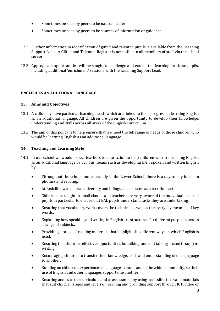- Sometimes be seen by peers to be natural leaders
- Sometimes be seen by peers to be sources of information or guidance
- 12.2. Further information in identification of gifted and talented pupils is available from the Learning Support Lead. A Gifted and Talented Register is accessible to all members of staff via the school server.
- 12.3. Appropriate opportunities will be sought to challenge and extend the learning for these pupils, including additional 'enrichment' sessions with the Learning Support Lead.

#### **ENGLISH AS AN ADDITIONAL LANGUAGE**

#### **13. Aims and Objectives**

- 13.1. A child may have particular learning needs which are linked to their progress in learning English as an additional language. All children are given the opportunity to develop their knowledge, understanding and skills across all areas of the English curriculum.
- 13.2. The aim of this policy is to help ensure that we meet the full range of needs of those children who would be learning English as an additional language.

#### **14. Teaching and Learning Style**

- 14.1. In our school we would expect teachers to take action to help children who are learning English as an additional language by various means such as developing their spoken and written English by:
	- Throughout the school, but especially in the Lower School, there is a day to day focus on phonics and reading.
	- At Redcliffe we celebrate diversity and bilingualism is seen as a terrific asset.
	- Children are taught in small classes and teachers are very aware of the individual needs of pupils in particular to ensure that EAL pupils understand tasks they are undertaking.
	- Ensuring that vocabulary work covers the technical as well as the everyday meaning of key words.
	- Explaining how speaking and writing in English are structured for different purposes across a range of subjects.
	- Providing a range of reading materials that highlight the different ways in which English is used.
	- Ensuring that there are effective opportunities for talking, and that talking is used to support writing.
	- Encouraging children to transfer their knowledge, skills and understanding of one language to another.
	- Building on children's experiences of language at home and in the wider community, so their use of English and other languages support one another.
	- Ensuring access to the curriculum and to assessment by using accessible texts and materials that suit children's ages and levels of learning and providing support through ICT, video or